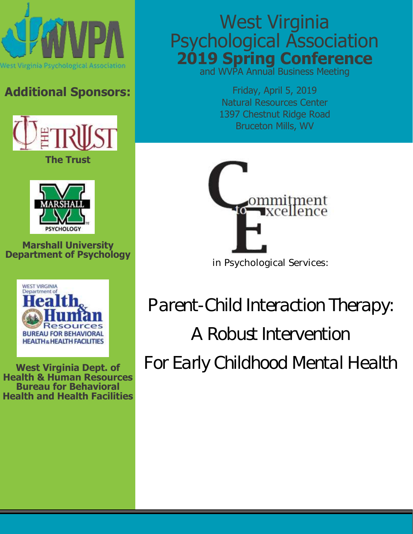

### **Additional Sponsors:**



**The Trust**



**Marshall University Department of Psychology**



**West Virginia Dept. of Health & Human Resources Bureau for Behavioral Health and Health Facilities**

## West Virginia Psychological Association **2019 Spring Conference**

and WVPA Annual Business Meeting

Friday, April 5, 2019 Natural Resources Center 1397 Chestnut Ridge Road Bruceton Mills, WV



Parent-Child Interaction Therapy: A Robust Intervention For Early Childhood Mental Health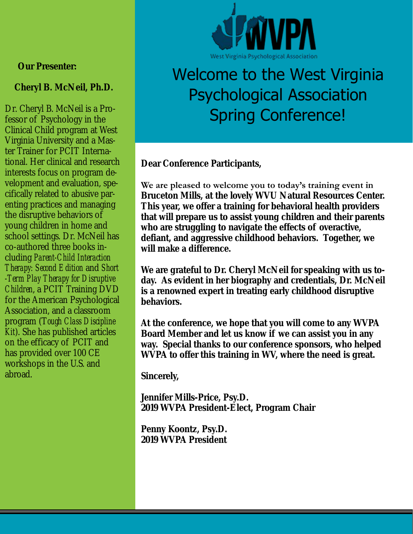**Our Presenter:** 

 **Cheryl B. McNeil, Ph.D.**

Dr. Cheryl B. McNeil is a Professor of Psychology in the Clinical Child program at West Virginia University and a Master Trainer for PCIT International. Her clinical and research interests focus on program development and evaluation, specifically related to abusive parenting practices and managing the disruptive behaviors of young children in home and school settings. Dr. McNeil has co-authored three books including *Parent-Child Interaction Therapy: Second Edition* and *Short -Term Play Therapy for Disruptive Children*, a PCIT Training DVD for the American Psychological Association, and a classroom program (T*ough Class Discipline Kit*). She has published articles on the efficacy of PCIT and has provided over 100 CE workshops in the U.S. and abroad.



# Welcome to the West Virginia Psychological Association Spring Conference!

**Dear Conference Participants,**

**We are pleased to welcome you to today's training event in Bruceton Mills, at the lovely WVU Natural Resources Center. This year, we offer a training for behavioral health providers that will prepare us to assist young children and their parents who are struggling to navigate the effects of overactive, defiant, and aggressive childhood behaviors. Together, we will make a difference.** 

**We are grateful to Dr. Cheryl McNeil for speaking with us today. As evident in her biography and credentials, Dr. McNeil is a renowned expert in treating early childhood disruptive behaviors.** 

**At the conference, we hope that you will come to any WVPA Board Member and let us know if we can assist you in any way. Special thanks to our conference sponsors, who helped WVPA to offer this training in WV, where the need is great.**

**Sincerely,**

**Jennifer Mills-Price, Psy.D. 2019 WVPA President-Elect, Program Chair**

**Penny Koontz, Psy.D. 2019 WVPA President**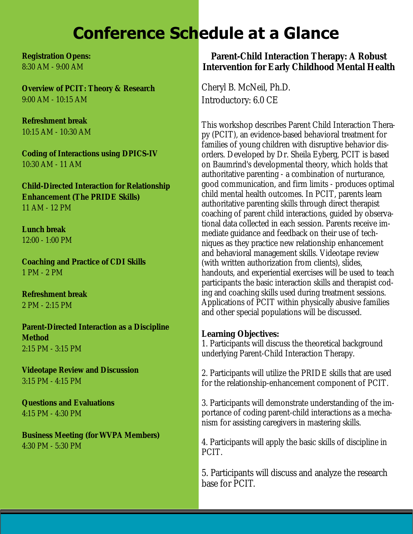# **Conference Schedule at a Glance**

**Registration Opens:**  8:30 AM - 9:00 AM

**Overview of PCIT: Theory & Research**  9:00 AM - 10:15 AM

**Refreshment break**  10:15 AM - 10:30 AM

**Coding of Interactions using DPICS-IV** 10:30 AM - 11 AM

**Child-Directed Interaction for Relationship Enhancement (The PRIDE Skills)** 11 AM - 12 PM

**Lunch break** 12:00 - 1:00 PM

**Coaching and Practice of CDI Skills** 1 PM - 2 PM

**Refreshment break** 2 PM - 2:15 PM

**Parent-Directed Interaction as a Discipline Method** 2:15 PM - 3:15 PM

**Videotape Review and Discussion** 3:15 PM - 4:15 PM

**Questions and Evaluations** 4:15 PM - 4:30 PM

**Business Meeting (for WVPA Members)**  4:30 PM - 5:30 PM

**Parent-Child Interaction Therapy: A Robust Intervention for Early Childhood Mental Health** 

Cheryl B. McNeil, Ph.D. Introductory: 6.0 CE

This workshop describes Parent Child Interaction Therapy (PCIT), an evidence-based behavioral treatment for families of young children with disruptive behavior disorders. Developed by Dr. Sheila Eyberg, PCIT is based on Baumrind's developmental theory, which holds that authoritative parenting - a combination of nurturance, good communication, and firm limits - produces optimal child mental health outcomes. In PCIT, parents learn authoritative parenting skills through direct therapist coaching of parent child interactions, guided by observational data collected in each session. Parents receive immediate guidance and feedback on their use of techniques as they practice new relationship enhancement and behavioral management skills. Videotape review (with written authorization from clients), slides, handouts, and experiential exercises will be used to teach participants the basic interaction skills and therapist coding and coaching skills used during treatment sessions. Applications of PCIT within physically abusive families and other special populations will be discussed.

**Learning Objectives:**

1. Participants will discuss the theoretical background underlying Parent-Child Interaction Therapy.

2. Participants will utilize the PRIDE skills that are used for the relationship-enhancement component of PCIT.

3. Participants will demonstrate understanding of the importance of coding parent-child interactions as a mechanism for assisting caregivers in mastering skills.

4. Participants will apply the basic skills of discipline in PCIT.

5. Participants will discuss and analyze the research base for PCIT.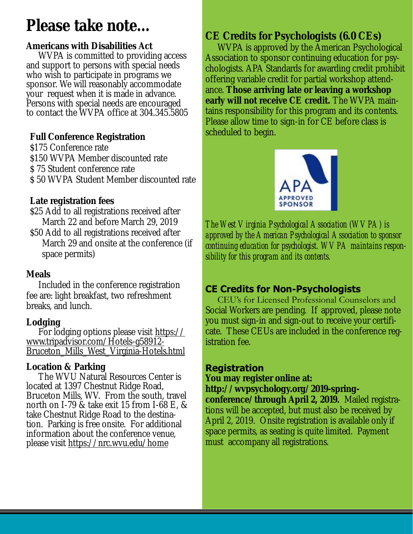## **Please take note...**

**Americans with Disabilities Act**

WVPA is committed to providing access and support to persons with special needs who wish to participate in programs we sponsor. We will reasonably accommodate your request when it is made in advance. Persons with special needs are encouraged to contact the WVPA office at 304.345.5805

**Full Conference Registration** \$175 Conference rate \$150 WVPA Member discounted rate

\$ 75 Student conference rate

\$ 50 WVPA Student Member discounted rate

**Late registration fees**

\$25 Add to all registrations received after March 22 and before March 29, 2019

\$50 Add to all registrations received after March 29 and onsite at the conference (if space permits)

#### **Meals**

Included in the conference registration fee are: light breakfast, two refreshment breaks, and lunch.

#### **Lodging**

For lodging options please visit https:// www.tripadvisor.com/Hotels-g58912- Bruceton\_Mills\_West\_Virginia-Hotels.html

#### **Location & Parking**

The WVU Natural Resources Center is located at 1397 Chestnut Ridge Road, Bruceton Mills, WV. From the south, travel north on I-79 & take exit 15 from I-68 E, & take Chestnut Ridge Road to the destination. Parking is free onsite. For additional information about the conference venue, please visit https://nrc.wvu.edu/home

### **CE Credits for Psychologists (6.0 CEs)**

WVPA is approved by the American Psychological Association to sponsor continuing education for psychologists. APA Standards for awarding credit prohibit offering variable credit for partial workshop attendance. **Those arriving late or leaving a workshop early will not receive CE credit.** The WVPA maintains responsibility for this program and its contents. Please allow time to sign-in for CE before class is scheduled to begin.



*The West Virginia Psychological Association (WVPA) is approved by the American Psychological Association to sponsor continuing education for psychologist. WVPA maintains responsibility for this program and its contents.*

#### **CE Credits for Non-Psychologists**

CEU's for Licensed Professional Counselors and Social Workers are pending. If approved, please note you must sign-in and sign-out to receive your certificate. These CEUs are included in the conference registration fee.

#### **Registration**

**You may register online at:**

**http://wvpsychology.org/2019-springconference/through April 2, 2019.** Mailed registrations will be accepted, but must also be received by April 2, 2019. Onsite registration is available only if space permits, as seating is quite limited. Payment must accompany all registrations.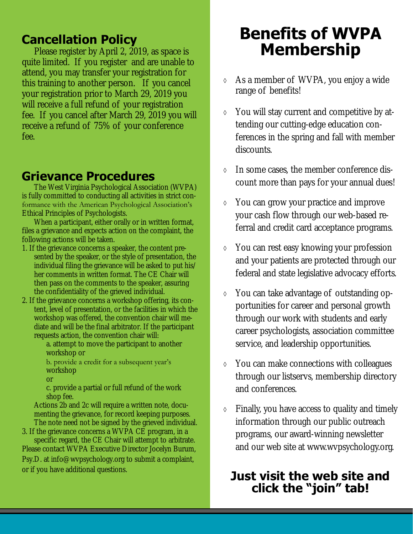### **Cancellation Policy**

Please register by April 2, 2019, as space is quite limited. If you register and are unable to attend, you may transfer your registration for this training to another person. If you cancel your registration prior to March 29, 2019 you will receive a full refund of your registration fee. If you cancel after March 29, 2019 you will receive a refund of 75% of your conference fee.

### **Grievance Procedures**

The West Virginia Psychological Association (WVPA) is fully committed to conducting all activities in strict conformance with the American Psychological Association's Ethical Principles of Psychologists.

When a participant, either orally or in written format, files a grievance and expects action on the complaint, the following actions will be taken.

- 1. If the grievance concerns a speaker, the content presented by the speaker, or the style of presentation, the individual filing the grievance will be asked to put his/ her comments in written format. The CE Chair will then pass on the comments to the speaker, assuring the confidentiality of the grieved individual.
- 2. If the grievance concerns a workshop offering, its content, level of presentation, or the facilities in which the workshop was offered, the convention chair will mediate and will be the final arbitrator. If the participant requests action, the convention chair will:

a. attempt to move the participant to another workshop or

b. provide a credit for a subsequent year's workshop

or

c. provide a partial or full refund of the work shop fee.

Actions 2b and 2c will require a written note, documenting the grievance, for record keeping purposes. The note need not be signed by the grieved individual.

3. If the grievance concerns a WVPA CE program, in a specific regard, the CE Chair will attempt to arbitrate. Please contact WVPA Executive Director Jocelyn Burum, Psy.D. at info@wvpsychology.org to submit a complaint, or if you have additional questions.

## **Benefits of WVPA Membership**

- As a member of WVPA, you enjoy a wide range of benefits!
- You will stay current and competitive by attending our cutting-edge education conferences in the spring and fall with member discounts.
- In some cases, the member conference discount more than pays for your annual dues!
- You can grow your practice and improve your cash flow through our web-based referral and credit card acceptance programs.
- You can rest easy knowing your profession and your patients are protected through our federal and state legislative advocacy efforts.
- You can take advantage of outstanding opportunities for career and personal growth through our work with students and early career psychologists, association committee service, and leadership opportunities.
- You can make connections with colleagues through our listservs, membership directory and conferences.
- Finally, you have access to quality and timely information through our public outreach programs, our award-winning newsletter and our web site at www.wvpsychology.org.

### **Just visit the web site and click the "join" tab!**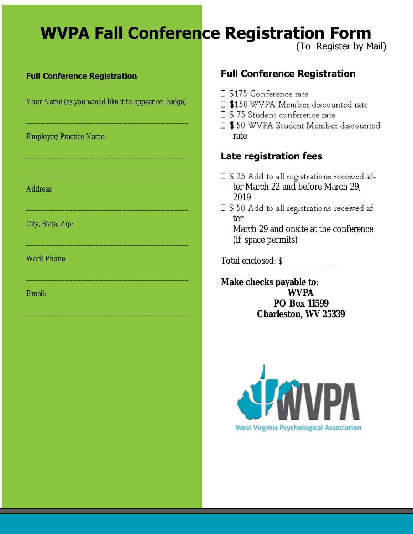## **WVPA Fall Conference Registration Form**

(To Register by Mail)

#### **Full Conference Registration**

Your Name (as you would like it to appear on badge):

\_\_\_\_\_\_\_\_\_\_\_\_\_\_\_\_\_\_\_\_\_\_\_\_\_\_\_\_\_\_\_\_\_\_\_\_\_\_\_\_\_\_

\_\_\_\_\_\_\_\_\_\_\_\_\_\_\_\_\_\_\_\_\_\_\_\_\_\_\_\_\_\_\_\_\_\_\_\_\_\_\_\_\_\_

\_\_\_\_\_\_\_\_\_\_\_\_\_\_\_\_\_\_\_\_\_\_\_\_\_\_\_\_\_\_\_\_\_\_\_\_\_\_\_\_\_\_

\_\_\_\_\_\_\_\_\_\_\_\_\_\_\_\_\_\_\_\_\_\_\_\_\_\_\_\_\_\_\_\_\_\_\_\_\_\_\_\_\_\_

\_\_\_\_\_\_\_\_\_\_\_\_\_\_\_\_\_\_\_\_\_\_\_\_\_\_\_\_\_\_\_\_\_\_\_\_\_\_\_\_\_\_

\_\_\_\_\_\_\_\_\_\_\_\_\_\_\_\_\_\_\_\_\_\_\_\_\_\_\_\_\_\_\_\_\_\_\_\_\_\_\_\_\_\_

\_\_\_\_\_\_\_\_\_\_\_\_\_\_\_\_\_\_\_\_\_\_\_\_\_\_\_\_\_\_\_\_\_\_\_\_\_\_\_\_\_\_

Employer/Practice Name:

Address:

City, State, Zip:

Work Phone:

Email:

#### **Full Conference Registration**

- □ \$175 Conference rate
- □ \$150 WVPA Member discounted rate
- □ \$75 Student conference rate
- □ \$50 WVPA Student Member discounted rate

#### **Late registration fees**

- □ \$25 Add to all registrations received after March 22 and before March 29, 2019
- □ \$50 Add to all registrations received after

March 29 and onsite at the conference (if space permits)

Total enclosed: \$

**Make checks payable to: WVPA PO Box 11599 Charleston, WV 25339**